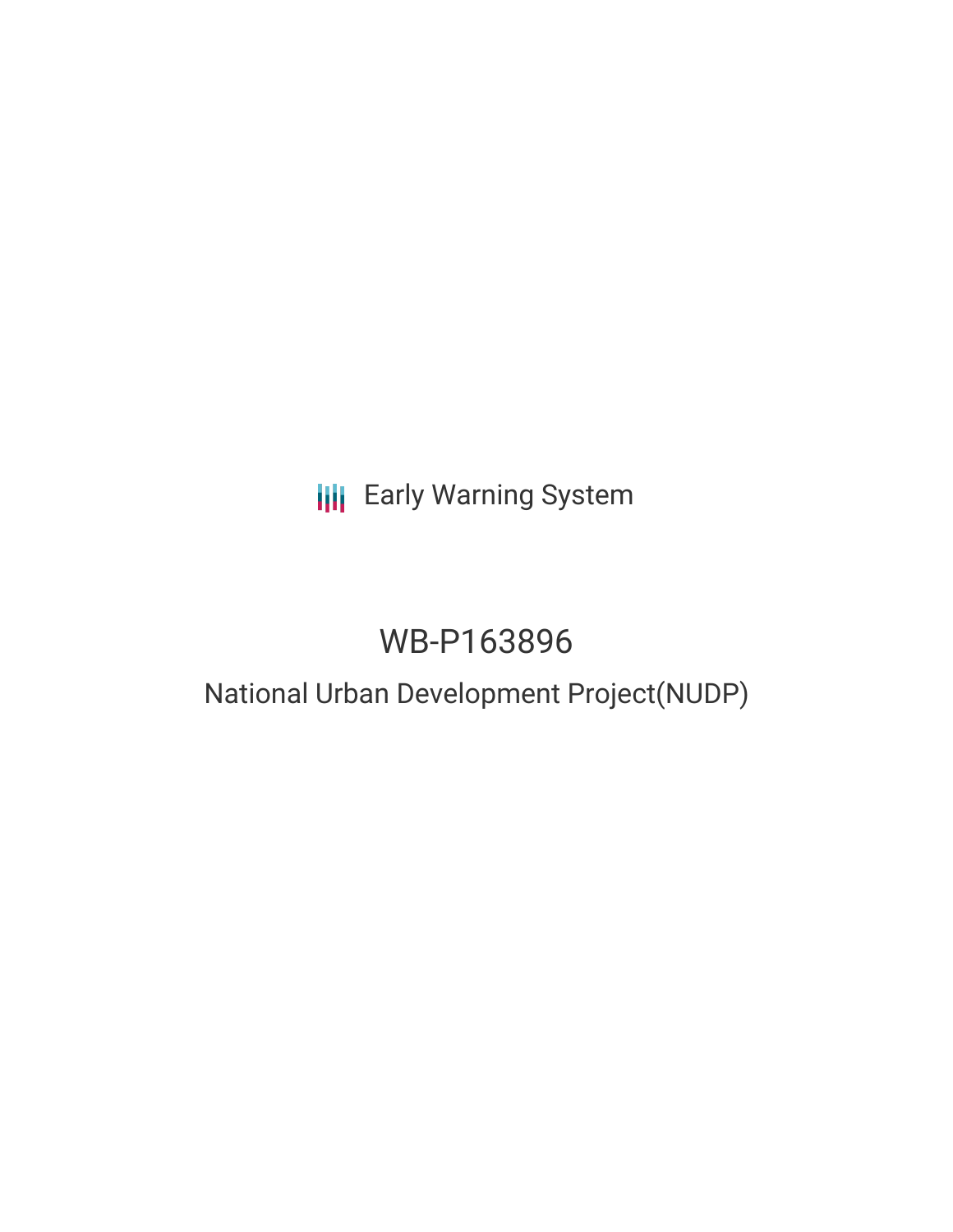## **III** Early Warning System

# WB-P163896

### National Urban Development Project(NUDP)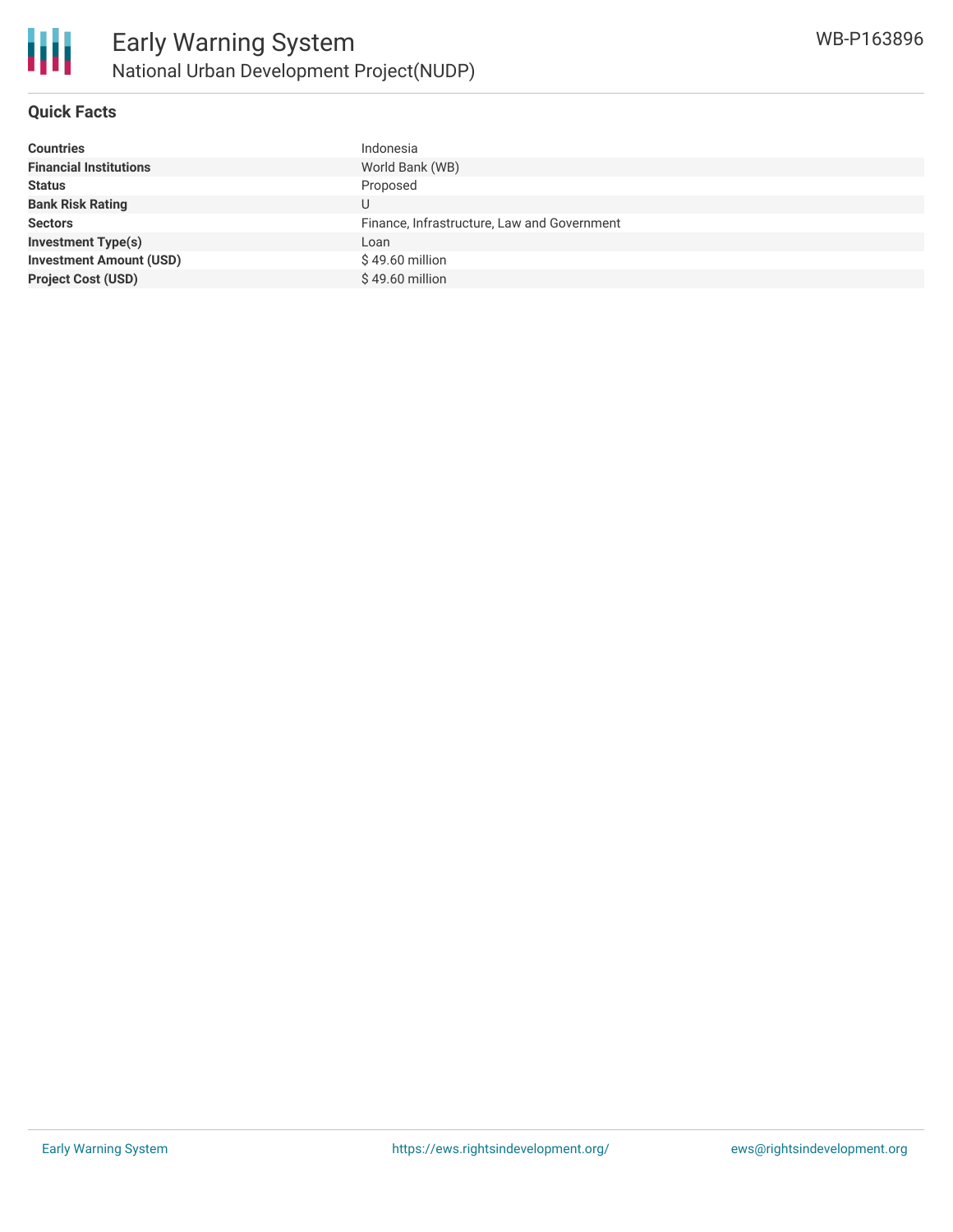

#### **Quick Facts**

| <b>Countries</b>               | Indonesia                                   |
|--------------------------------|---------------------------------------------|
| <b>Financial Institutions</b>  | World Bank (WB)                             |
| <b>Status</b>                  | Proposed                                    |
| <b>Bank Risk Rating</b>        | U                                           |
| <b>Sectors</b>                 | Finance, Infrastructure, Law and Government |
| <b>Investment Type(s)</b>      | Loan                                        |
| <b>Investment Amount (USD)</b> | \$49.60 million                             |
| <b>Project Cost (USD)</b>      | \$49.60 million                             |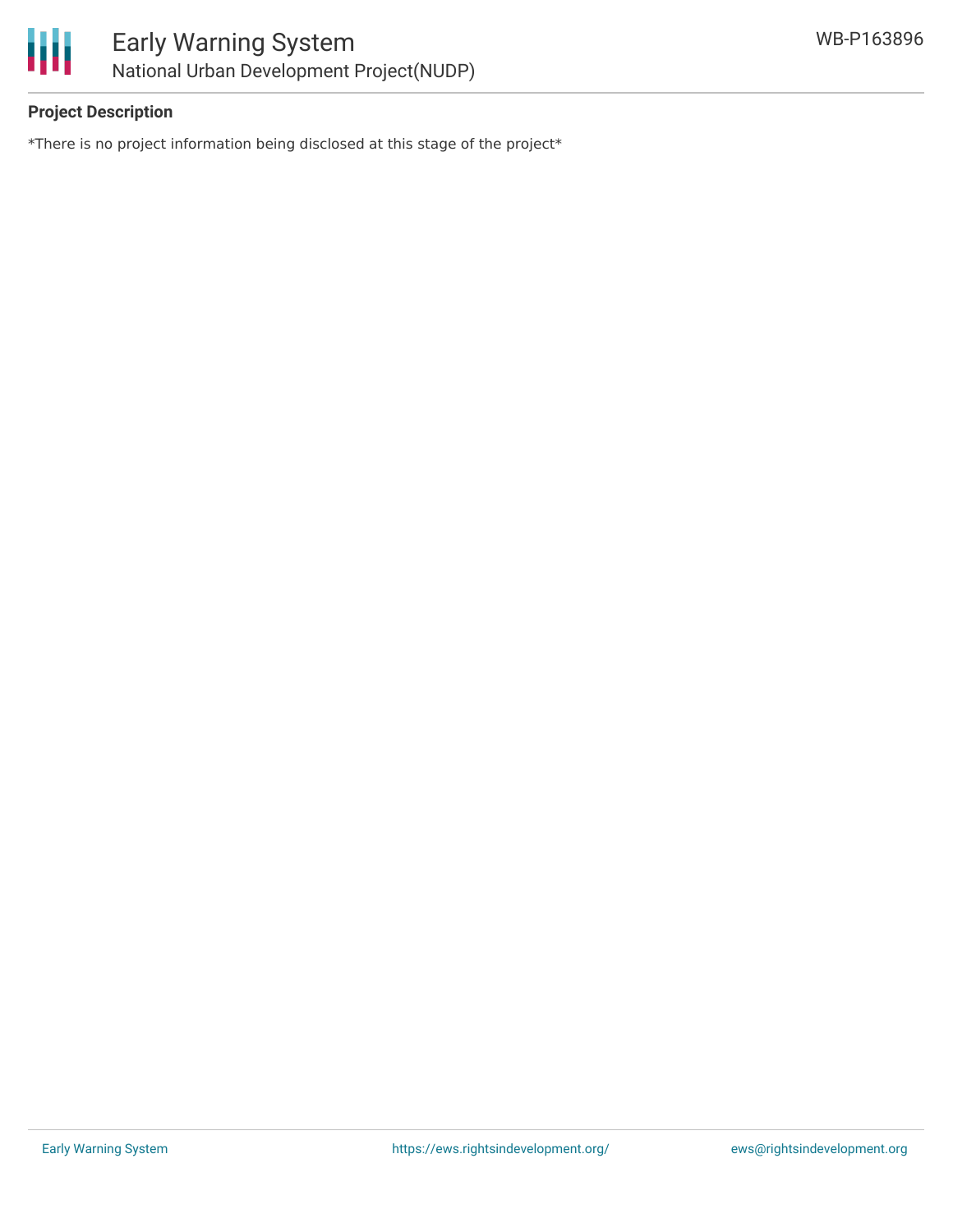



### **Project Description**

\*There is no project information being disclosed at this stage of the project\*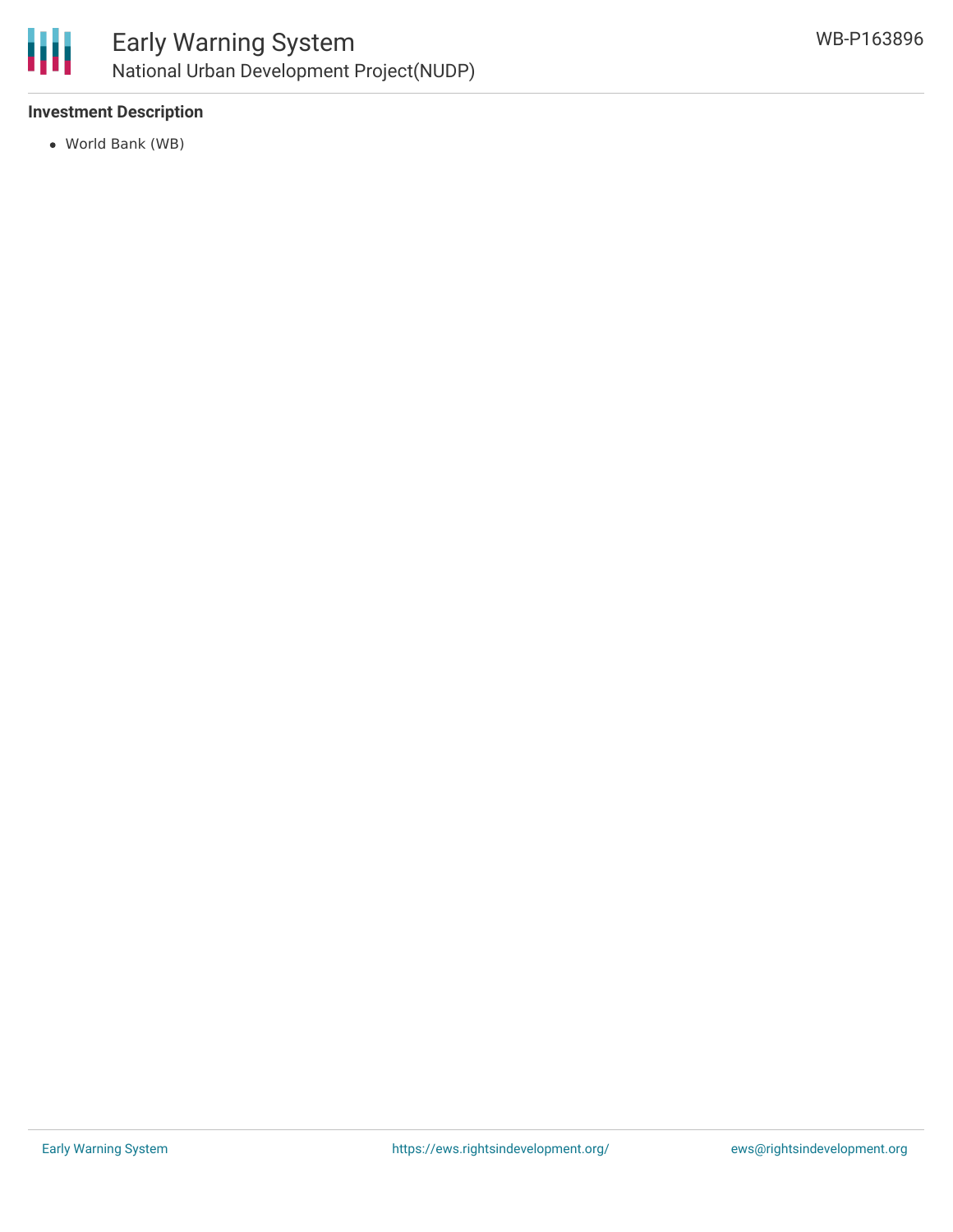

#### **Investment Description**

World Bank (WB)